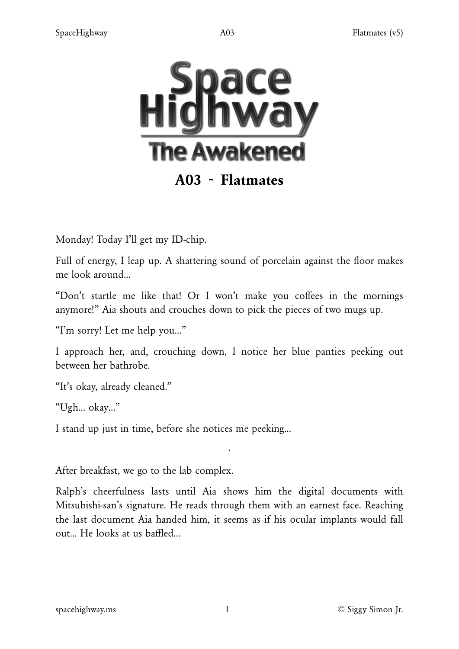

# A03 ~ Flatmates

Monday! Today I'll get my ID-chip.

Full of energy, I leap up. A shattering sound of porcelain against the floor makes me look around…

"Don't startle me like that! Or I won't make you coffees in the mornings anymore!" Aia shouts and crouches down to pick the pieces of two mugs up.

"I'm sorry! Let me help you…"

I approach her, and, crouching down, I notice her blue panties peeking out between her bathrobe.

"It's okay, already cleaned."

"Ugh… okay…"

I stand up just in time, before she notices me peeking…

After breakfast, we go to the lab complex.

Ralph's cheerfulness lasts until Aia shows him the digital documents with Mitsubishi-san's signature. He reads through them with an earnest face. Reaching the last document Aia handed him, it seems as if his ocular implants would fall out… He looks at us baffled…

·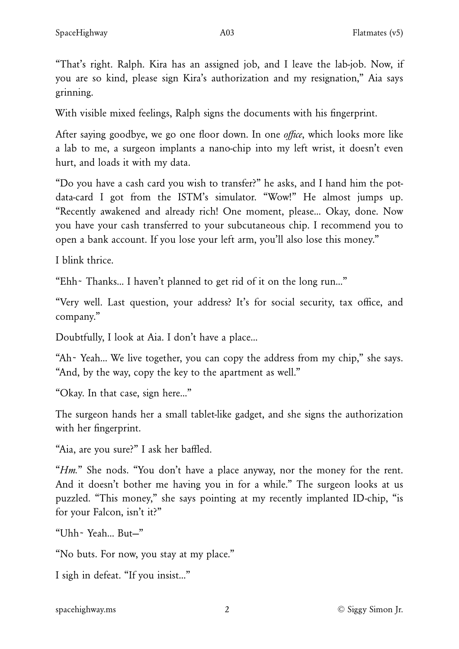"That's right. Ralph. Kira has an assigned job, and I leave the lab-job. Now, if you are so kind, please sign Kira's authorization and my resignation," Aia says grinning.

With visible mixed feelings, Ralph signs the documents with his fingerprint.

After saying goodbye, we go one floor down. In one *o*ffi*ce*, which looks more like a lab to me, a surgeon implants a nano-chip into my left wrist, it doesn't even hurt, and loads it with my data.

"Do you have a cash card you wish to transfer?" he asks, and I hand him the potdata-card I got from the ISTM's simulator. "Wow!" He almost jumps up. "Recently awakened and already rich! One moment, please… Okay, done. Now you have your cash transferred to your subcutaneous chip. I recommend you to open a bank account. If you lose your left arm, you'll also lose this money."

I blink thrice.

"Ehh~ Thanks… I haven't planned to get rid of it on the long run…"

"Very well. Last question, your address? It's for social security, tax office, and company."

Doubtfully, I look at Aia. I don't have a place…

"Ah~ Yeah… We live together, you can copy the address from my chip," she says. "And, by the way, copy the key to the apartment as well."

"Okay. In that case, sign here…"

The surgeon hands her a small tablet-like gadget, and she signs the authorization with her fingerprint.

"Aia, are you sure?" I ask her baffled.

"*Hm.*" She nods. "You don't have a place anyway, nor the money for the rent. And it doesn't bother me having you in for a while." The surgeon looks at us puzzled. "This money," she says pointing at my recently implanted ID-chip, "is for your Falcon, isn't it?"

"Uhh~ Yeah… But—"

"No buts. For now, you stay at my place."

I sigh in defeat. "If you insist…"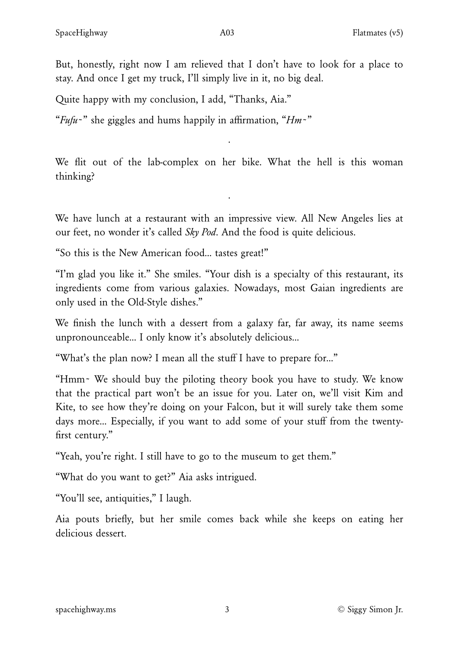But, honestly, right now I am relieved that I don't have to look for a place to stay. And once I get my truck, I'll simply live in it, no big deal.

Quite happy with my conclusion, I add, "Thanks, Aia."

"*Fufu*~" she giggles and hums happily in affirmation, "*Hm*~"

We flit out of the lab-complex on her bike. What the hell is this woman thinking?

·

We have lunch at a restaurant with an impressive view. All New Angeles lies at our feet, no wonder it's called *Sky Pod*. And the food is quite delicious.

·

"So this is the New American food… tastes great!"

"I'm glad you like it." She smiles. "Your dish is a specialty of this restaurant, its ingredients come from various galaxies. Nowadays, most Gaian ingredients are only used in the Old-Style dishes."

We finish the lunch with a dessert from a galaxy far, far away, its name seems unpronounceable… I only know it's absolutely delicious…

"What's the plan now? I mean all the stuff I have to prepare for…"

"Hmm~ We should buy the piloting theory book you have to study. We know that the practical part won't be an issue for you. Later on, we'll visit Kim and Kite, to see how they're doing on your Falcon, but it will surely take them some days more… Especially, if you want to add some of your stuff from the twentyfirst century."

"Yeah, you're right. I still have to go to the museum to get them."

"What do you want to get?" Aia asks intrigued.

"You'll see, antiquities," I laugh.

Aia pouts briefly, but her smile comes back while she keeps on eating her delicious dessert.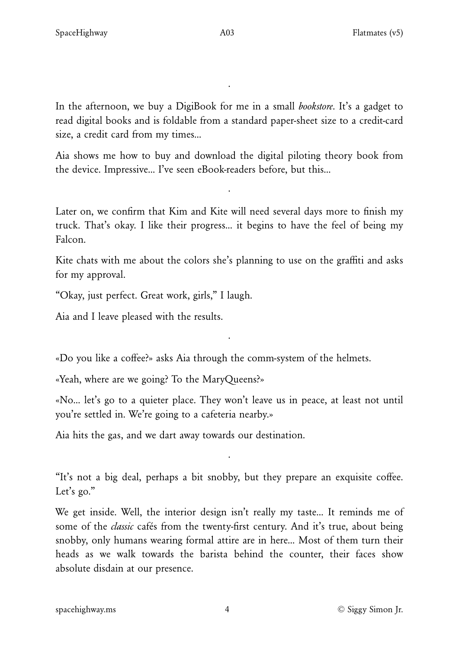In the afternoon, we buy a DigiBook for me in a small *bookstore*. It's a gadget to read digital books and is foldable from a standard paper-sheet size to a credit-card size, a credit card from my times…

·

Aia shows me how to buy and download the digital piloting theory book from the device. Impressive… I've seen eBook-readers before, but this…

·

Later on, we confirm that Kim and Kite will need several days more to finish my truck. That's okay. I like their progress… it begins to have the feel of being my Falcon.

Kite chats with me about the colors she's planning to use on the graffiti and asks for my approval.

"Okay, just perfect. Great work, girls," I laugh.

Aia and I leave pleased with the results.

«Do you like a coffee?» asks Aia through the comm-system of the helmets.

«Yeah, where are we going? To the MaryQueens?»

«No… let's go to a quieter place. They won't leave us in peace, at least not until you're settled in. We're going to a cafeteria nearby.»

·

Aia hits the gas, and we dart away towards our destination.

"It's not a big deal, perhaps a bit snobby, but they prepare an exquisite coffee. Let's go."

·

We get inside. Well, the interior design isn't really my taste… It reminds me of some of the *classic* cafés from the twenty-first century. And it's true, about being snobby, only humans wearing formal attire are in here… Most of them turn their heads as we walk towards the barista behind the counter, their faces show absolute disdain at our presence.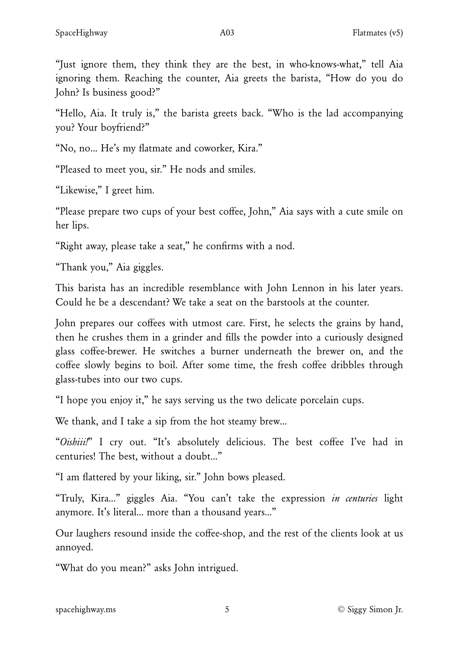"Just ignore them, they think they are the best, in who-knows-what," tell Aia ignoring them. Reaching the counter, Aia greets the barista, "How do you do John? Is business good?"

"Hello, Aia. It truly is," the barista greets back. "Who is the lad accompanying you? Your boyfriend?"

"No, no… He's my flatmate and coworker, Kira."

"Pleased to meet you, sir." He nods and smiles.

"Likewise," I greet him.

"Please prepare two cups of your best coffee, John," Aia says with a cute smile on her lips.

"Right away, please take a seat," he confirms with a nod.

"Thank you," Aia giggles.

This barista has an incredible resemblance with John Lennon in his later years. Could he be a descendant? We take a seat on the barstools at the counter.

John prepares our coffees with utmost care. First, he selects the grains by hand, then he crushes them in a grinder and fills the powder into a curiously designed glass coffee-brewer. He switches a burner underneath the brewer on, and the coffee slowly begins to boil. After some time, the fresh coffee dribbles through glass-tubes into our two cups.

"I hope you enjoy it," he says serving us the two delicate porcelain cups.

We thank, and I take a sip from the hot steamy brew…

"*Oishiii!*" I cry out. "It's absolutely delicious. The best coffee I've had in centuries! The best, without a doubt…"

"I am flattered by your liking, sir." John bows pleased.

"Truly, Kira…" giggles Aia. "You can't take the expression *in centuries* light anymore. It's literal… more than a thousand years…"

Our laughers resound inside the coffee-shop, and the rest of the clients look at us annoyed.

"What do you mean?" asks John intrigued.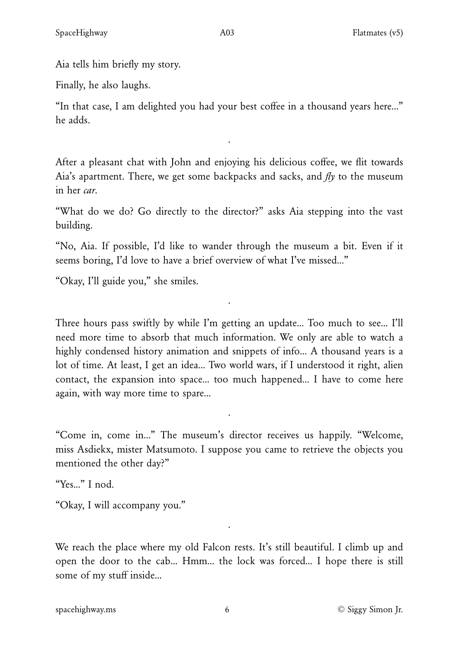Aia tells him briefly my story.

Finally, he also laughs.

"In that case, I am delighted you had your best coffee in a thousand years here…" he adds.

·

After a pleasant chat with John and enjoying his delicious coffee, we flit towards Aia's apartment. There, we get some backpacks and sacks, and *fly* to the museum in her *car*.

"What do we do? Go directly to the director?" asks Aia stepping into the vast building.

"No, Aia. If possible, I'd like to wander through the museum a bit. Even if it seems boring, I'd love to have a brief overview of what I've missed…"

·

"Okay, I'll guide you," she smiles.

Three hours pass swiftly by while I'm getting an update… Too much to see… I'll need more time to absorb that much information. We only are able to watch a highly condensed history animation and snippets of info... A thousand years is a lot of time. At least, I get an idea… Two world wars, if I understood it right, alien contact, the expansion into space… too much happened… I have to come here again, with way more time to spare…

"Come in, come in…" The museum's director receives us happily. "Welcome, miss Asdiekx, mister Matsumoto. I suppose you came to retrieve the objects you mentioned the other day?"

·

"Yes…" I nod.

"Okay, I will accompany you."

We reach the place where my old Falcon rests. It's still beautiful. I climb up and open the door to the cab… Hmm… the lock was forced… I hope there is still some of my stuff inside…

·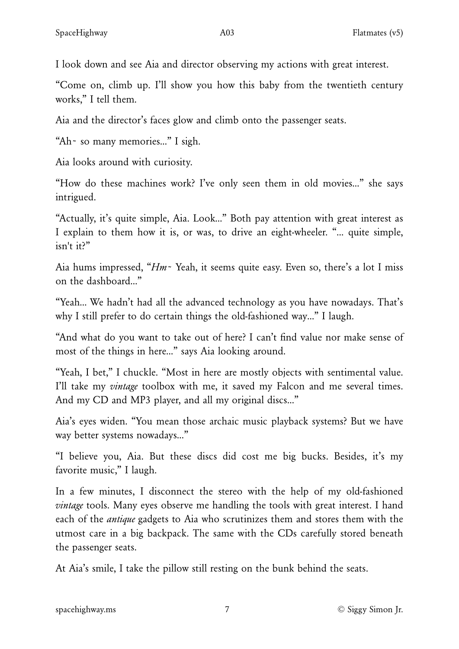I look down and see Aia and director observing my actions with great interest.

"Come on, climb up. I'll show you how this baby from the twentieth century works," I tell them.

Aia and the director's faces glow and climb onto the passenger seats.

"Ah~ so many memories…" I sigh.

Aia looks around with curiosity.

"How do these machines work? I've only seen them in old movies…" she says intrigued.

"Actually, it's quite simple, Aia. Look…" Both pay attention with great interest as I explain to them how it is, or was, to drive an eight-wheeler. "… quite simple, isn't it?"

Aia hums impressed, "*Hm*~ Yeah, it seems quite easy. Even so, there's a lot I miss on the dashboard…"

"Yeah… We hadn't had all the advanced technology as you have nowadays. That's why I still prefer to do certain things the old-fashioned way…" I laugh.

"And what do you want to take out of here? I can't find value nor make sense of most of the things in here…" says Aia looking around.

"Yeah, I bet," I chuckle. "Most in here are mostly objects with sentimental value. I'll take my *vintage* toolbox with me, it saved my Falcon and me several times. And my CD and MP3 player, and all my original discs…"

Aia's eyes widen. "You mean those archaic music playback systems? But we have way better systems nowadays…"

"I believe you, Aia. But these discs did cost me big bucks. Besides, it's my favorite music," I laugh.

In a few minutes, I disconnect the stereo with the help of my old-fashioned *vintage* tools. Many eyes observe me handling the tools with great interest. I hand each of the *antique* gadgets to Aia who scrutinizes them and stores them with the utmost care in a big backpack. The same with the CDs carefully stored beneath the passenger seats.

At Aia's smile, I take the pillow still resting on the bunk behind the seats.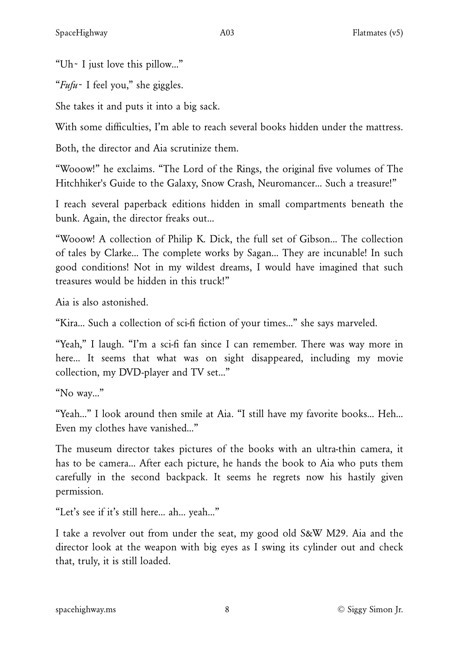"Uh~ I just love this pillow…"

"*Fufu*~ I feel you," she giggles.

She takes it and puts it into a big sack.

With some difficulties, I'm able to reach several books hidden under the mattress.

Both, the director and Aia scrutinize them.

"Wooow!" he exclaims. "The Lord of the Rings, the original five volumes of The Hitchhiker's Guide to the Galaxy, Snow Crash, Neuromancer… Such a treasure!"

I reach several paperback editions hidden in small compartments beneath the bunk. Again, the director freaks out…

"Wooow! A collection of Philip K. Dick, the full set of Gibson… The collection of tales by Clarke… The complete works by Sagan… They are incunable! In such good conditions! Not in my wildest dreams, I would have imagined that such treasures would be hidden in this truck!"

Aia is also astonished.

"Kira… Such a collection of sci-fi fiction of your times…" she says marveled.

"Yeah," I laugh. "I'm a sci-fi fan since I can remember. There was way more in here… It seems that what was on sight disappeared, including my movie collection, my DVD-player and TV set…"

"No way…"

"Yeah…" I look around then smile at Aia. "I still have my favorite books… Heh… Even my clothes have vanished…"

The museum director takes pictures of the books with an ultra-thin camera, it has to be camera… After each picture, he hands the book to Aia who puts them carefully in the second backpack. It seems he regrets now his hastily given permission.

"Let's see if it's still here… ah… yeah…"

I take a revolver out from under the seat, my good old S&W M29. Aia and the director look at the weapon with big eyes as I swing its cylinder out and check that, truly, it is still loaded.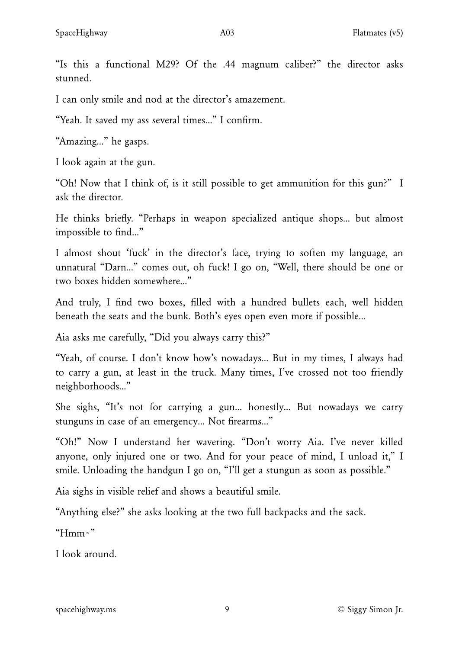"Is this a functional M29? Of the .44 magnum caliber?" the director asks stunned.

I can only smile and nod at the director's amazement.

"Yeah. It saved my ass several times…" I confirm.

"Amazing…" he gasps.

I look again at the gun.

"Oh! Now that I think of, is it still possible to get ammunition for this gun?" I ask the director.

He thinks briefly. "Perhaps in weapon specialized antique shops… but almost impossible to find…"

I almost shout 'fuck' in the director's face, trying to soften my language, an unnatural "Darn…" comes out, oh fuck! I go on, "Well, there should be one or two boxes hidden somewhere…"

And truly, I find two boxes, filled with a hundred bullets each, well hidden beneath the seats and the bunk. Both's eyes open even more if possible…

Aia asks me carefully, "Did you always carry this?"

"Yeah, of course. I don't know how's nowadays… But in my times, I always had to carry a gun, at least in the truck. Many times, I've crossed not too friendly neighborhoods…"

She sighs, "It's not for carrying a gun… honestly… But nowadays we carry stunguns in case of an emergency… Not firearms…"

"Oh!" Now I understand her wavering. "Don't worry Aia. I've never killed anyone, only injured one or two. And for your peace of mind, I unload it," I smile. Unloading the handgun I go on, "I'll get a stungun as soon as possible."

Aia sighs in visible relief and shows a beautiful smile.

"Anything else?" she asks looking at the two full backpacks and the sack.

" $H$ mm~"

I look around.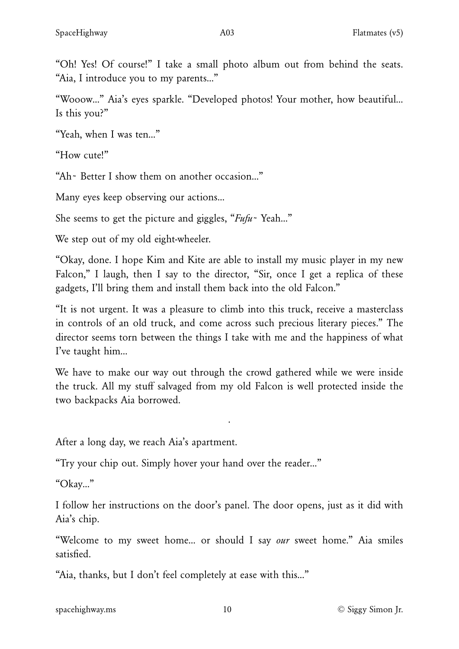"Wooow…" Aia's eyes sparkle. "Developed photos! Your mother, how beautiful… Is this you?"

"Yeah, when I was ten…"

"How cute!"

"Ah~ Better I show them on another occasion…"

Many eyes keep observing our actions…

She seems to get the picture and giggles, "*Fufu*~ Yeah…"

We step out of my old eight-wheeler.

"Okay, done. I hope Kim and Kite are able to install my music player in my new Falcon," I laugh, then I say to the director, "Sir, once I get a replica of these gadgets, I'll bring them and install them back into the old Falcon."

"It is not urgent. It was a pleasure to climb into this truck, receive a masterclass in controls of an old truck, and come across such precious literary pieces." The director seems torn between the things I take with me and the happiness of what I've taught him…

We have to make our way out through the crowd gathered while we were inside the truck. All my stuff salvaged from my old Falcon is well protected inside the two backpacks Aia borrowed.

·

After a long day, we reach Aia's apartment.

"Try your chip out. Simply hover your hand over the reader…"

"Okay…"

I follow her instructions on the door's panel. The door opens, just as it did with Aia's chip.

"Welcome to my sweet home… or should I say *our* sweet home." Aia smiles satisfied.

"Aia, thanks, but I don't feel completely at ease with this…"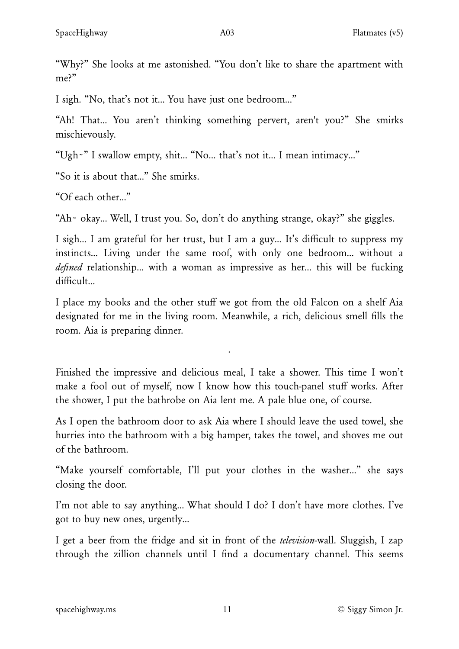"Why?" She looks at me astonished. "You don't like to share the apartment with me?"

I sigh. "No, that's not it… You have just one bedroom…"

"Ah! That… You aren't thinking something pervert, aren't you?" She smirks mischievously.

"Ugh~" I swallow empty, shit… "No… that's not it… I mean intimacy…"

"So it is about that…" She smirks.

"Of each other…"

"Ah~ okay… Well, I trust you. So, don't do anything strange, okay?" she giggles.

I sigh… I am grateful for her trust, but I am a guy… It's difficult to suppress my instincts… Living under the same roof, with only one bedroom… without a *defined* relationship… with a woman as impressive as her… this will be fucking difficult…

I place my books and the other stuff we got from the old Falcon on a shelf Aia designated for me in the living room. Meanwhile, a rich, delicious smell fills the room. Aia is preparing dinner.

Finished the impressive and delicious meal, I take a shower. This time I won't make a fool out of myself, now I know how this touch-panel stuff works. After the shower, I put the bathrobe on Aia lent me. A pale blue one, of course.

·

As I open the bathroom door to ask Aia where I should leave the used towel, she hurries into the bathroom with a big hamper, takes the towel, and shoves me out of the bathroom.

"Make yourself comfortable, I'll put your clothes in the washer…" she says closing the door.

I'm not able to say anything… What should I do? I don't have more clothes. I've got to buy new ones, urgently…

I get a beer from the fridge and sit in front of the *television*-wall. Sluggish, I zap through the zillion channels until I find a documentary channel. This seems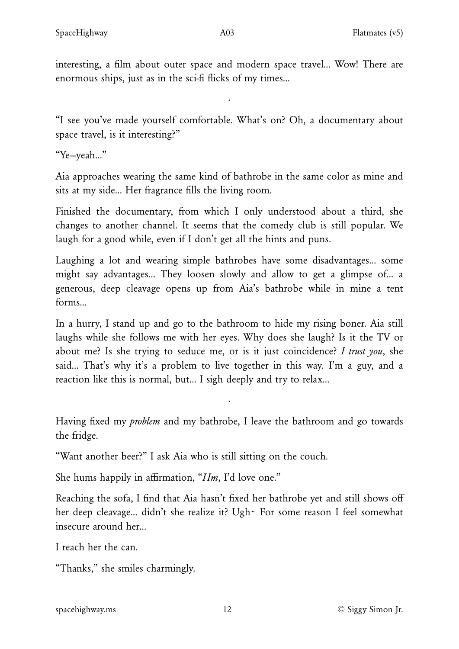interesting, a film about outer space and modern space travel… Wow! There are enormous ships, just as in the sci-fi flicks of my times…

·

"I see you've made yourself comfortable. What's on? Oh, a documentary about space travel, is it interesting?"

"Ye—yeah…"

Aia approaches wearing the same kind of bathrobe in the same color as mine and sits at my side… Her fragrance fills the living room.

Finished the documentary, from which I only understood about a third, she changes to another channel. It seems that the comedy club is still popular. We laugh for a good while, even if I don't get all the hints and puns.

Laughing a lot and wearing simple bathrobes have some disadvantages… some might say advantages… They loosen slowly and allow to get a glimpse of… a generous, deep cleavage opens up from Aia's bathrobe while in mine a tent forms…

In a hurry, I stand up and go to the bathroom to hide my rising boner. Aia still laughs while she follows me with her eyes. Why does she laugh? Is it the TV or about me? Is she trying to seduce me, or is it just coincidence? *I trust you*, she said… That's why it's a problem to live together in this way. I'm a guy, and a reaction like this is normal, but… I sigh deeply and try to relax…

Having fixed my *problem* and my bathrobe, I leave the bathroom and go towards the fridge.

·

"Want another beer?" I ask Aia who is still sitting on the couch.

She hums happily in affirmation, "*Hm*, I'd love one."

Reaching the sofa, I find that Aia hasn't fixed her bathrobe yet and still shows off her deep cleavage… didn't she realize it? Ugh~ For some reason I feel somewhat insecure around her…

I reach her the can.

"Thanks," she smiles charmingly.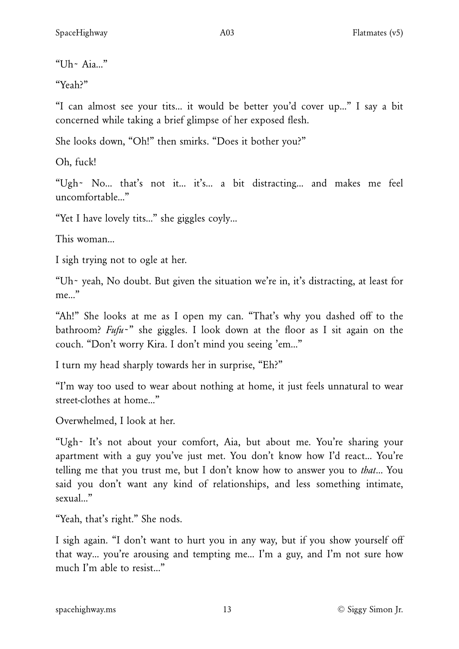"Uh~ $Aia...$ "

"Yeah?"

"I can almost see your tits… it would be better you'd cover up…" I say a bit concerned while taking a brief glimpse of her exposed flesh.

She looks down, "Oh!" then smirks. "Does it bother you?"

Oh, fuck!

"Ugh~ No… that's not it… it's… a bit distracting… and makes me feel uncomfortable…"

"Yet I have lovely tits…" she giggles coyly…

This woman…

I sigh trying not to ogle at her.

"Uh~ yeah, No doubt. But given the situation we're in, it's distracting, at least for me…"

"Ah!" She looks at me as I open my can. "That's why you dashed off to the bathroom? *Fufu*~" she giggles. I look down at the floor as I sit again on the couch. "Don't worry Kira. I don't mind you seeing 'em…"

I turn my head sharply towards her in surprise, "Eh?"

"I'm way too used to wear about nothing at home, it just feels unnatural to wear street-clothes at home…"

Overwhelmed, I look at her.

"Ugh~ It's not about your comfort, Aia, but about me. You're sharing your apartment with a guy you've just met. You don't know how I'd react… You're telling me that you trust me, but I don't know how to answer you to *that*… You said you don't want any kind of relationships, and less something intimate, sexual…"

"Yeah, that's right." She nods.

I sigh again. "I don't want to hurt you in any way, but if you show yourself off that way… you're arousing and tempting me… I'm a guy, and I'm not sure how much I'm able to resist…"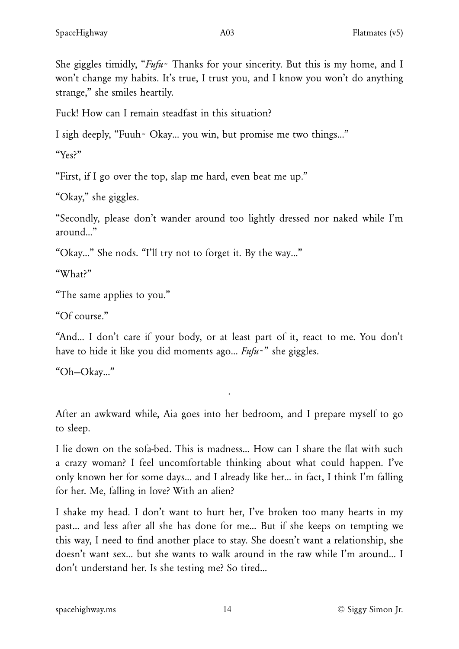She giggles timidly, "*Fufu*~ Thanks for your sincerity. But this is my home, and I won't change my habits. It's true, I trust you, and I know you won't do anything strange," she smiles heartily.

Fuck! How can I remain steadfast in this situation?

I sigh deeply, "Fuuh~ Okay… you win, but promise me two things…"

"Yes?"

"First, if I go over the top, slap me hard, even beat me up."

"Okay," she giggles.

"Secondly, please don't wander around too lightly dressed nor naked while I'm around…"

"Okay…" She nods. "I'll try not to forget it. By the way…"

"What?"

"The same applies to you."

"Of course."

"And… I don't care if your body, or at least part of it, react to me. You don't have to hide it like you did moments ago… *Fufu*~" she giggles.

"Oh—Okay…"

After an awkward while, Aia goes into her bedroom, and I prepare myself to go to sleep.

·

I lie down on the sofa-bed. This is madness… How can I share the flat with such a crazy woman? I feel uncomfortable thinking about what could happen. I've only known her for some days… and I already like her… in fact, I think I'm falling for her. Me, falling in love? With an alien?

I shake my head. I don't want to hurt her, I've broken too many hearts in my past… and less after all she has done for me… But if she keeps on tempting we this way, I need to find another place to stay. She doesn't want a relationship, she doesn't want sex… but she wants to walk around in the raw while I'm around… I don't understand her. Is she testing me? So tired…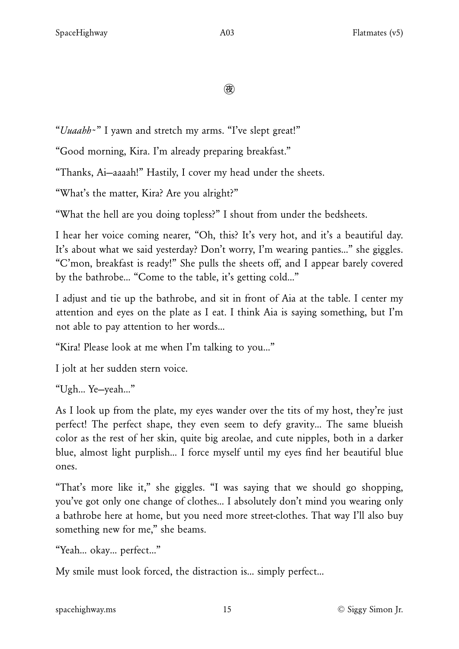ꐔ

"*Uuaahh*~" I yawn and stretch my arms. "I've slept great!"

"Good morning, Kira. I'm already preparing breakfast."

"Thanks, Ai—aaaah!" Hastily, I cover my head under the sheets.

"What's the matter, Kira? Are you alright?"

"What the hell are you doing topless?" I shout from under the bedsheets.

I hear her voice coming nearer, "Oh, this? It's very hot, and it's a beautiful day. It's about what we said yesterday? Don't worry, I'm wearing panties…" she giggles. "C'mon, breakfast is ready!" She pulls the sheets off, and I appear barely covered by the bathrobe… "Come to the table, it's getting cold…"

I adjust and tie up the bathrobe, and sit in front of Aia at the table. I center my attention and eyes on the plate as I eat. I think Aia is saying something, but I'm not able to pay attention to her words…

"Kira! Please look at me when I'm talking to you…"

I jolt at her sudden stern voice.

"Ugh… Ye—yeah…"

As I look up from the plate, my eyes wander over the tits of my host, they're just perfect! The perfect shape, they even seem to defy gravity… The same blueish color as the rest of her skin, quite big areolae, and cute nipples, both in a darker blue, almost light purplish… I force myself until my eyes find her beautiful blue ones.

"That's more like it," she giggles. "I was saying that we should go shopping, you've got only one change of clothes… I absolutely don't mind you wearing only a bathrobe here at home, but you need more street-clothes. That way I'll also buy something new for me," she beams.

"Yeah… okay… perfect…"

My smile must look forced, the distraction is… simply perfect…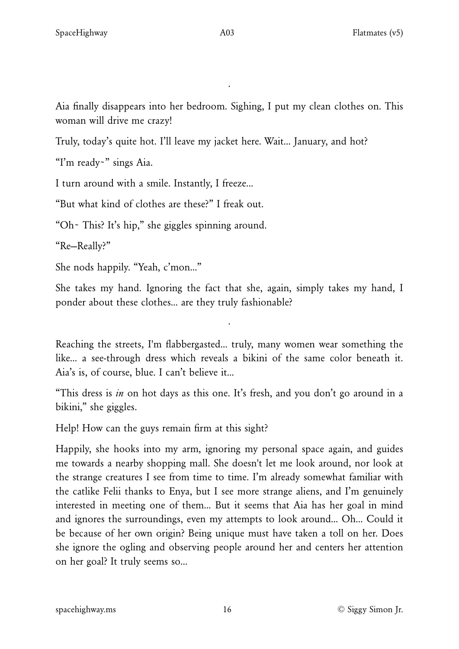Aia finally disappears into her bedroom. Sighing, I put my clean clothes on. This woman will drive me crazy!

·

Truly, today's quite hot. I'll leave my jacket here. Wait… January, and hot?

"I'm ready~" sings Aia.

I turn around with a smile. Instantly, I freeze…

"But what kind of clothes are these?" I freak out.

"Oh~ This? It's hip," she giggles spinning around.

"Re—Really?"

She nods happily. "Yeah, c'mon…"

She takes my hand. Ignoring the fact that she, again, simply takes my hand, I ponder about these clothes… are they truly fashionable?

·

Reaching the streets, I'm flabbergasted… truly, many women wear something the like… a see-through dress which reveals a bikini of the same color beneath it. Aia's is, of course, blue. I can't believe it…

"This dress is *in* on hot days as this one. It's fresh, and you don't go around in a bikini," she giggles.

Help! How can the guys remain firm at this sight?

Happily, she hooks into my arm, ignoring my personal space again, and guides me towards a nearby shopping mall. She doesn't let me look around, nor look at the strange creatures I see from time to time. I'm already somewhat familiar with the catlike Felii thanks to Enya, but I see more strange aliens, and I'm genuinely interested in meeting one of them… But it seems that Aia has her goal in mind and ignores the surroundings, even my attempts to look around… Oh… Could it be because of her own origin? Being unique must have taken a toll on her. Does she ignore the ogling and observing people around her and centers her attention on her goal? It truly seems so…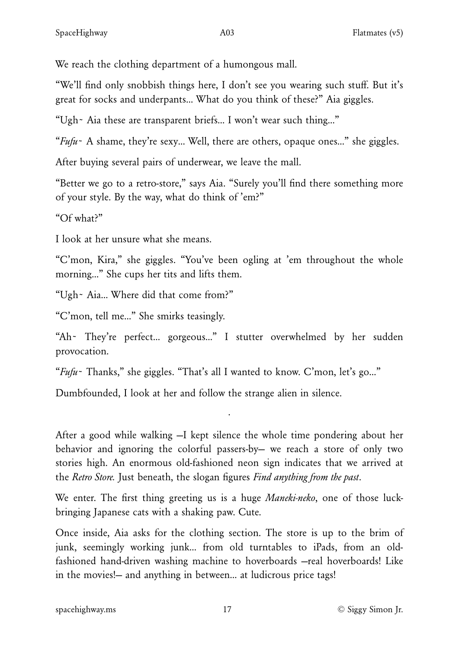We reach the clothing department of a humongous mall.

"We'll find only snobbish things here, I don't see you wearing such stuff. But it's great for socks and underpants… What do you think of these?" Aia giggles.

"Ugh~ Aia these are transparent briefs… I won't wear such thing…"

"*Fufu*~ A shame, they're sexy… Well, there are others, opaque ones…" she giggles.

After buying several pairs of underwear, we leave the mall.

"Better we go to a retro-store," says Aia. "Surely you'll find there something more of your style. By the way, what do think of 'em?"

"Of what?"

I look at her unsure what she means.

"C'mon, Kira," she giggles. "You've been ogling at 'em throughout the whole morning…" She cups her tits and lifts them.

"Ugh~ Aia… Where did that come from?"

"C'mon, tell me…" She smirks teasingly.

"Ah~ They're perfect… gorgeous…" I stutter overwhelmed by her sudden provocation.

"*Fufu*~ Thanks," she giggles. "That's all I wanted to know. C'mon, let's go…"

Dumbfounded, I look at her and follow the strange alien in silence.

After a good while walking —I kept silence the whole time pondering about her behavior and ignoring the colorful passers-by— we reach a store of only two stories high. An enormous old-fashioned neon sign indicates that we arrived at the *Retro Store.* Just beneath, the slogan figures *Find anything from the past*.

·

We enter. The first thing greeting us is a huge *Maneki-neko*, one of those luckbringing Japanese cats with a shaking paw. Cute.

Once inside, Aia asks for the clothing section. The store is up to the brim of junk, seemingly working junk… from old turntables to iPads, from an oldfashioned hand-driven washing machine to hoverboards —real hoverboards! Like in the movies!— and anything in between… at ludicrous price tags!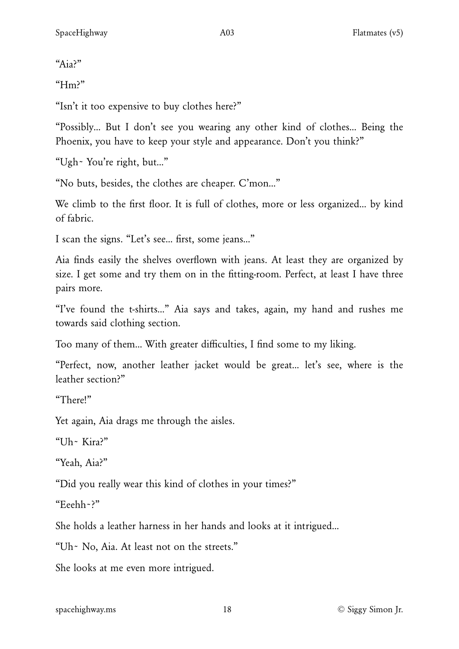"Aia?"

"Hm?"

"Isn't it too expensive to buy clothes here?"

"Possibly… But I don't see you wearing any other kind of clothes… Being the Phoenix, you have to keep your style and appearance. Don't you think?"

"Ugh~ You're right, but…"

"No buts, besides, the clothes are cheaper. C'mon…"

We climb to the first floor. It is full of clothes, more or less organized... by kind of fabric.

I scan the signs. "Let's see… first, some jeans…"

Aia finds easily the shelves overflown with jeans. At least they are organized by size. I get some and try them on in the fitting-room. Perfect, at least I have three pairs more.

"I've found the t-shirts…" Aia says and takes, again, my hand and rushes me towards said clothing section.

Too many of them… With greater difficulties, I find some to my liking.

"Perfect, now, another leather jacket would be great… let's see, where is the leather section?"

"There!"

Yet again, Aia drags me through the aisles.

"Uh~ Kira?"

"Yeah, Aia?"

"Did you really wear this kind of clothes in your times?"

"Eeehh~?"

She holds a leather harness in her hands and looks at it intrigued…

"Uh~ No, Aia. At least not on the streets."

She looks at me even more intrigued.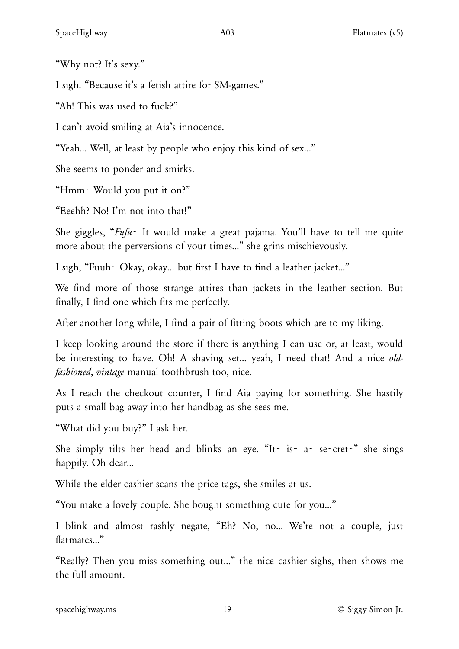"Why not? It's sexy."

I sigh. "Because it's a fetish attire for SM-games."

"Ah! This was used to fuck?"

I can't avoid smiling at Aia's innocence.

"Yeah… Well, at least by people who enjoy this kind of sex…"

She seems to ponder and smirks.

"Hmm~ Would you put it on?"

"Eeehh? No! I'm not into that!"

She giggles, "*Fufu*~ It would make a great pajama. You'll have to tell me quite more about the perversions of your times…" she grins mischievously.

I sigh, "Fuuh~ Okay, okay… but first I have to find a leather jacket…"

We find more of those strange attires than jackets in the leather section. But finally, I find one which fits me perfectly.

After another long while, I find a pair of fitting boots which are to my liking.

I keep looking around the store if there is anything I can use or, at least, would be interesting to have. Oh! A shaving set… yeah, I need that! And a nice *oldfashioned*, *vintage* manual toothbrush too, nice.

As I reach the checkout counter, I find Aia paying for something. She hastily puts a small bag away into her handbag as she sees me.

"What did you buy?" I ask her.

She simply tilts her head and blinks an eye. "It~ is~ a~ se~cret~" she sings happily. Oh dear…

While the elder cashier scans the price tags, she smiles at us.

"You make a lovely couple. She bought something cute for you…"

I blink and almost rashly negate, "Eh? No, no… We're not a couple, just flatmates…"

"Really? Then you miss something out…" the nice cashier sighs, then shows me the full amount.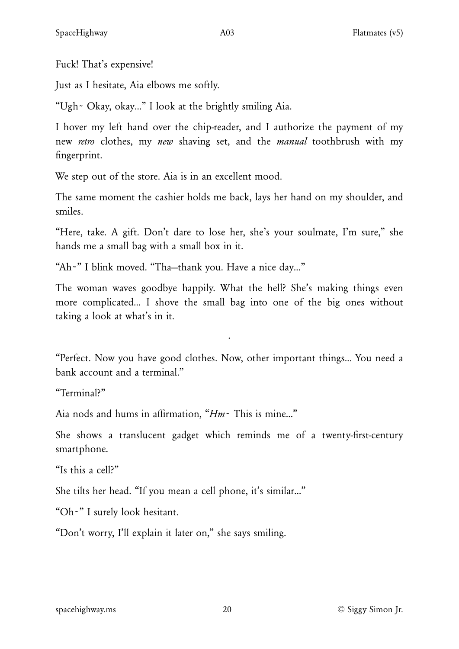Fuck! That's expensive!

Just as I hesitate, Aia elbows me softly.

"Ugh~ Okay, okay…" I look at the brightly smiling Aia.

I hover my left hand over the chip-reader, and I authorize the payment of my new *retro* clothes, my *new* shaving set, and the *manual* toothbrush with my fingerprint.

We step out of the store. Aia is in an excellent mood.

The same moment the cashier holds me back, lays her hand on my shoulder, and smiles.

"Here, take. A gift. Don't dare to lose her, she's your soulmate, I'm sure," she hands me a small bag with a small box in it.

"Ah~" I blink moved. "Tha—thank you. Have a nice day…"

The woman waves goodbye happily. What the hell? She's making things even more complicated… I shove the small bag into one of the big ones without taking a look at what's in it.

"Perfect. Now you have good clothes. Now, other important things… You need a bank account and a terminal."

·

"Terminal?"

Aia nods and hums in affirmation, "*Hm*~ This is mine…"

She shows a translucent gadget which reminds me of a twenty-first-century smartphone.

"Is this a cell?"

She tilts her head. "If you mean a cell phone, it's similar…"

"Oh~" I surely look hesitant.

"Don't worry, I'll explain it later on," she says smiling.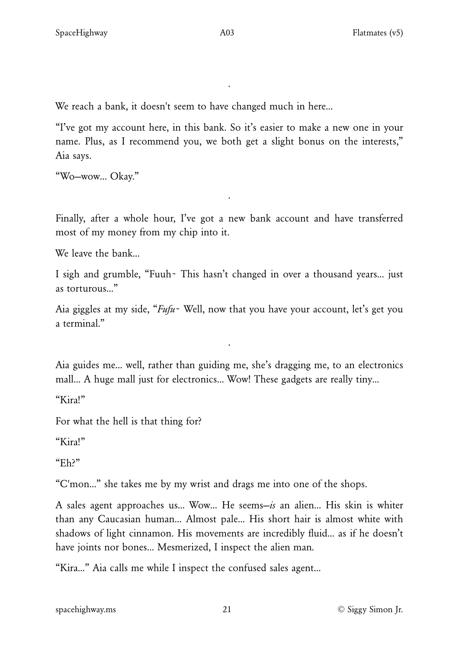·

We reach a bank, it doesn't seem to have changed much in here…

"I've got my account here, in this bank. So it's easier to make a new one in your name. Plus, as I recommend you, we both get a slight bonus on the interests," Aia says.

"Wo—wow… Okay."

Finally, after a whole hour, I've got a new bank account and have transferred most of my money from my chip into it.

·

We leave the bank…

I sigh and grumble, "Fuuh~ This hasn't changed in over a thousand years… just as torturous…"

Aia giggles at my side, "*Fufu*~ Well, now that you have your account, let's get you a terminal."

Aia guides me… well, rather than guiding me, she's dragging me, to an electronics mall… A huge mall just for electronics… Wow! These gadgets are really tiny…

·

"Kira!"

For what the hell is that thing for?

"Kira!"

"Eh?"

"C'mon…" she takes me by my wrist and drags me into one of the shops.

A sales agent approaches us… Wow… He seems—*is* an alien… His skin is whiter than any Caucasian human… Almost pale… His short hair is almost white with shadows of light cinnamon. His movements are incredibly fluid… as if he doesn't have joints nor bones… Mesmerized, I inspect the alien man.

"Kira…" Aia calls me while I inspect the confused sales agent…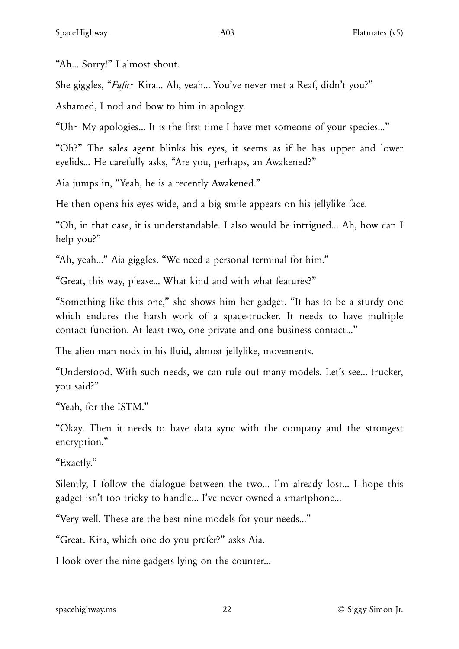"Ah… Sorry!" I almost shout.

She giggles, "*Fufu*~ Kira… Ah, yeah… You've never met a Reaf, didn't you?"

Ashamed, I nod and bow to him in apology.

"Uh~ My apologies… It is the first time I have met someone of your species…"

"Oh?" The sales agent blinks his eyes, it seems as if he has upper and lower eyelids… He carefully asks, "Are you, perhaps, an Awakened?"

Aia jumps in, "Yeah, he is a recently Awakened."

He then opens his eyes wide, and a big smile appears on his jellylike face.

"Oh, in that case, it is understandable. I also would be intrigued… Ah, how can I help you?"

"Ah, yeah…" Aia giggles. "We need a personal terminal for him."

"Great, this way, please… What kind and with what features?"

"Something like this one," she shows him her gadget. "It has to be a sturdy one which endures the harsh work of a space-trucker. It needs to have multiple contact function. At least two, one private and one business contact…"

The alien man nods in his fluid, almost jellylike, movements.

"Understood. With such needs, we can rule out many models. Let's see… trucker, you said?"

"Yeah, for the ISTM."

"Okay. Then it needs to have data sync with the company and the strongest encryption."

"Exactly."

Silently, I follow the dialogue between the two… I'm already lost… I hope this gadget isn't too tricky to handle… I've never owned a smartphone…

"Very well. These are the best nine models for your needs…"

"Great. Kira, which one do you prefer?" asks Aia.

I look over the nine gadgets lying on the counter…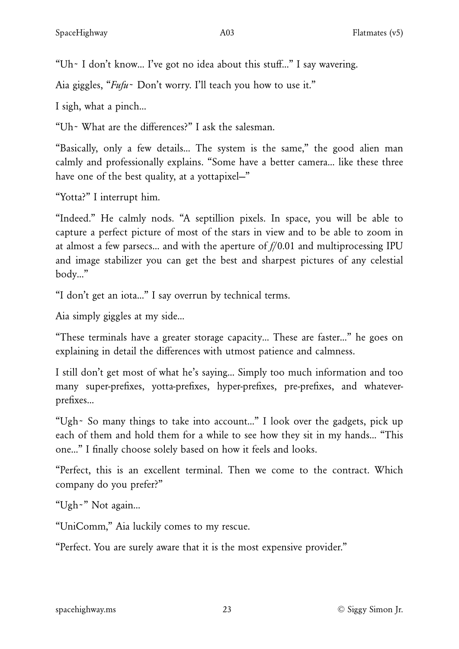"Uh~ I don't know… I've got no idea about this stuff…" I say wavering.

Aia giggles, "*Fufu*~ Don't worry. I'll teach you how to use it."

I sigh, what a pinch…

"Uh~ What are the differences?" I ask the salesman.

"Basically, only a few details… The system is the same," the good alien man calmly and professionally explains. "Some have a better camera… like these three have one of the best quality, at a yottapixel-"

"Yotta?" I interrupt him.

"Indeed." He calmly nods. "A septillion pixels. In space, you will be able to capture a perfect picture of most of the stars in view and to be able to zoom in at almost a few parsecs… and with the aperture of *f*/0.01 and multiprocessing IPU and image stabilizer you can get the best and sharpest pictures of any celestial body…"

"I don't get an iota…" I say overrun by technical terms.

Aia simply giggles at my side…

"These terminals have a greater storage capacity… These are faster…" he goes on explaining in detail the differences with utmost patience and calmness.

I still don't get most of what he's saying… Simply too much information and too many super-prefixes, yotta-prefixes, hyper-prefixes, pre-prefixes, and whateverprefixes…

"Ugh~ So many things to take into account…" I look over the gadgets, pick up each of them and hold them for a while to see how they sit in my hands… "This one…" I finally choose solely based on how it feels and looks.

"Perfect, this is an excellent terminal. Then we come to the contract. Which company do you prefer?"

"Ugh~" Not again…

"UniComm," Aia luckily comes to my rescue.

"Perfect. You are surely aware that it is the most expensive provider."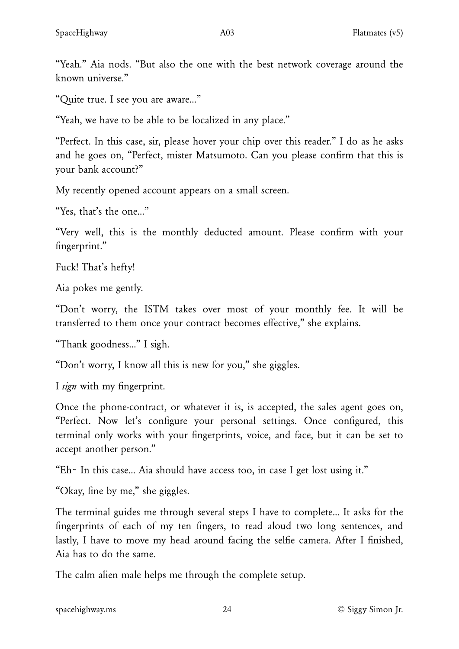"Yeah." Aia nods. "But also the one with the best network coverage around the known universe"

"Quite true. I see you are aware…"

"Yeah, we have to be able to be localized in any place."

"Perfect. In this case, sir, please hover your chip over this reader." I do as he asks and he goes on, "Perfect, mister Matsumoto. Can you please confirm that this is your bank account?"

My recently opened account appears on a small screen.

"Yes, that's the one…"

"Very well, this is the monthly deducted amount. Please confirm with your fingerprint."

Fuck! That's hefty!

Aia pokes me gently.

"Don't worry, the ISTM takes over most of your monthly fee. It will be transferred to them once your contract becomes effective," she explains.

"Thank goodness…" I sigh.

"Don't worry, I know all this is new for you," she giggles.

I *sign* with my fingerprint.

Once the phone-contract, or whatever it is, is accepted, the sales agent goes on, "Perfect. Now let's configure your personal settings. Once configured, this terminal only works with your fingerprints, voice, and face, but it can be set to accept another person."

"Eh~ In this case… Aia should have access too, in case I get lost using it."

"Okay, fine by me," she giggles.

The terminal guides me through several steps I have to complete… It asks for the fingerprints of each of my ten fingers, to read aloud two long sentences, and lastly, I have to move my head around facing the selfie camera. After I finished, Aia has to do the same.

The calm alien male helps me through the complete setup.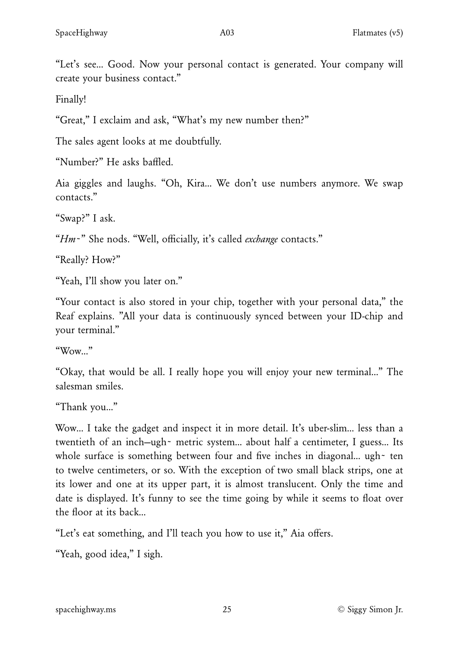"Let's see… Good. Now your personal contact is generated. Your company will create your business contact."

Finally!

"Great," I exclaim and ask, "What's my new number then?"

The sales agent looks at me doubtfully.

"Number?" He asks baffled.

Aia giggles and laughs. "Oh, Kira… We don't use numbers anymore. We swap contacts."

"Swap?" I ask.

"*Hm*~" She nods. "Well, officially, it's called *exchange* contacts."

"Really? How?"

"Yeah, I'll show you later on."

"Your contact is also stored in your chip, together with your personal data," the Reaf explains. "All your data is continuously synced between your ID-chip and your terminal."

" $W<sub>OW</sub>$ "

"Okay, that would be all. I really hope you will enjoy your new terminal…" The salesman smiles.

"Thank you…"

Wow… I take the gadget and inspect it in more detail. It's uber-slim… less than a twentieth of an inch—ugh~ metric system… about half a centimeter, I guess… Its whole surface is something between four and five inches in diagonal... ugh~ ten to twelve centimeters, or so. With the exception of two small black strips, one at its lower and one at its upper part, it is almost translucent. Only the time and date is displayed. It's funny to see the time going by while it seems to float over the floor at its back…

"Let's eat something, and I'll teach you how to use it," Aia offers.

"Yeah, good idea," I sigh.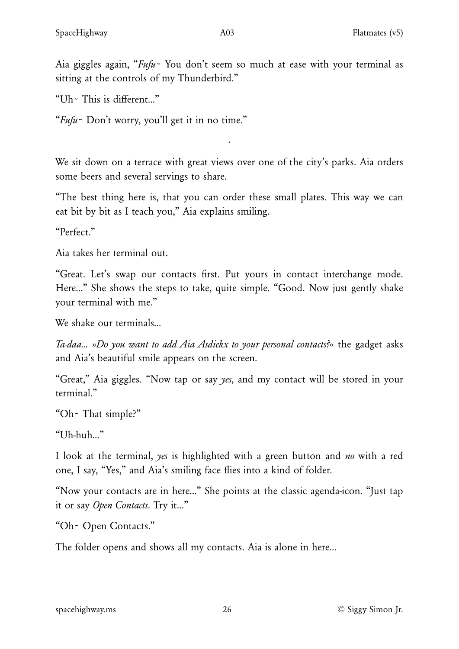"Uh~ This is different…"

"*Fufu*~ Don't worry, you'll get it in no time."

We sit down on a terrace with great views over one of the city's parks. Aia orders some beers and several servings to share.

·

"The best thing here is, that you can order these small plates. This way we can eat bit by bit as I teach you," Aia explains smiling.

"Perfect."

Aia takes her terminal out.

"Great. Let's swap our contacts first. Put yours in contact interchange mode. Here…" She shows the steps to take, quite simple. "Good. Now just gently shake your terminal with me."

We shake our terminals…

*Ta-daa…* »*Do you want to add Aia Asdiekx to your personal contacts?*« the gadget asks and Aia's beautiful smile appears on the screen.

"Great," Aia giggles. "Now tap or say *yes*, and my contact will be stored in your terminal."

"Oh~ That simple?"

"Uh-huh…"

I look at the terminal, *yes* is highlighted with a green button and *no* with a red one, I say, "Yes," and Aia's smiling face flies into a kind of folder.

"Now your contacts are in here…" She points at the classic agenda-icon. "Just tap it or say *Open Contacts*. Try it…"

"Oh~ Open Contacts."

The folder opens and shows all my contacts. Aia is alone in here…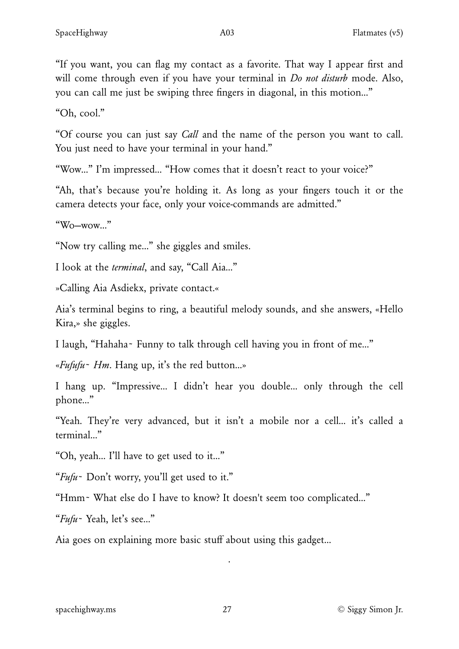"If you want, you can flag my contact as a favorite. That way I appear first and will come through even if you have your terminal in *Do not disturb* mode. Also, you can call me just be swiping three fingers in diagonal, in this motion…"

"Oh, cool."

"Of course you can just say *Call* and the name of the person you want to call. You just need to have your terminal in your hand."

"Wow…" I'm impressed… "How comes that it doesn't react to your voice?"

"Ah, that's because you're holding it. As long as your fingers touch it or the camera detects your face, only your voice-commands are admitted."

"Wo—wow…"

"Now try calling me…" she giggles and smiles.

I look at the *terminal*, and say, "Call Aia…"

»Calling Aia Asdiekx, private contact.«

Aia's terminal begins to ring, a beautiful melody sounds, and she answers, «Hello Kira,» she giggles.

I laugh, "Hahaha~ Funny to talk through cell having you in front of me…"

«*Fufufu*~ *Hm*. Hang up, it's the red button…»

I hang up. "Impressive… I didn't hear you double… only through the cell phone…"

"Yeah. They're very advanced, but it isn't a mobile nor a cell… it's called a terminal…"

"Oh, yeah… I'll have to get used to it…"

"*Fufu*~ Don't worry, you'll get used to it."

"Hmm~ What else do I have to know? It doesn't seem too complicated…"

"*Fufu*~ Yeah, let's see…"

Aia goes on explaining more basic stuff about using this gadget…

·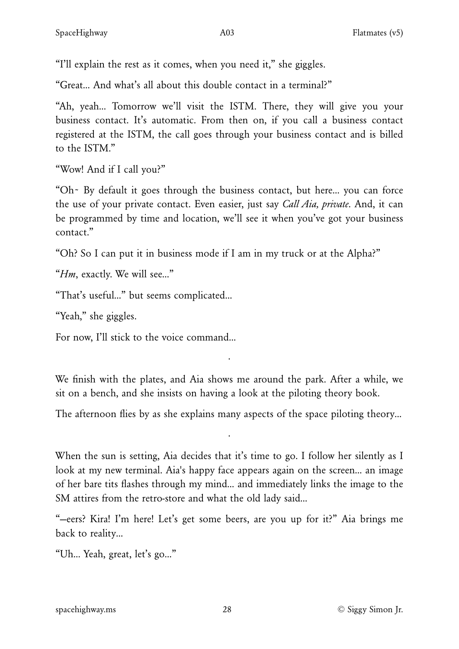"I'll explain the rest as it comes, when you need it," she giggles.

"Great… And what's all about this double contact in a terminal?"

"Ah, yeah… Tomorrow we'll visit the ISTM. There, they will give you your business contact. It's automatic. From then on, if you call a business contact registered at the ISTM, the call goes through your business contact and is billed to the ISTM."

"Wow! And if I call you?"

"Oh~ By default it goes through the business contact, but here… you can force the use of your private contact. Even easier, just say *Call Aia, private*. And, it can be programmed by time and location, we'll see it when you've got your business contact."

"Oh? So I can put it in business mode if I am in my truck or at the Alpha?"

"*Hm*, exactly. We will see…"

"That's useful…" but seems complicated…

"Yeah," she giggles.

For now, I'll stick to the voice command…

We finish with the plates, and Aia shows me around the park. After a while, we sit on a bench, and she insists on having a look at the piloting theory book.

·

The afternoon flies by as she explains many aspects of the space piloting theory...

·

When the sun is setting, Aia decides that it's time to go. I follow her silently as I look at my new terminal. Aia's happy face appears again on the screen… an image of her bare tits flashes through my mind… and immediately links the image to the SM attires from the retro-store and what the old lady said…

"—eers? Kira! I'm here! Let's get some beers, are you up for it?" Aia brings me back to reality…

"Uh… Yeah, great, let's go…"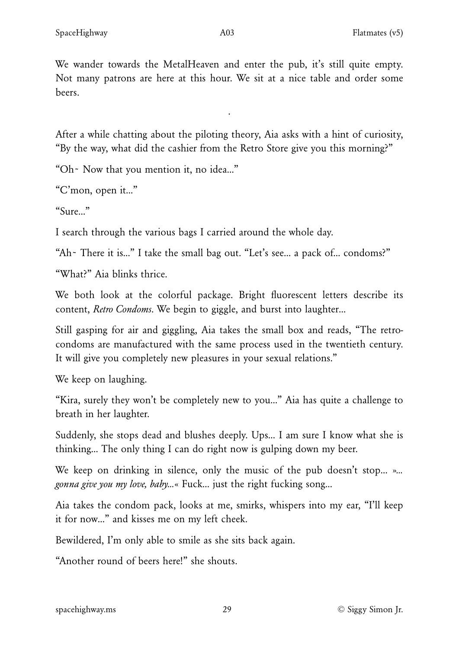We wander towards the MetalHeaven and enter the pub, it's still quite empty. Not many patrons are here at this hour. We sit at a nice table and order some beers.

After a while chatting about the piloting theory, Aia asks with a hint of curiosity, "By the way, what did the cashier from the Retro Store give you this morning?"

·

"Oh~ Now that you mention it, no idea…"

"C'mon, open it…"

" $\frac{1}{\text{S} \cdot \text{S} \cdot \text{S} \cdot \text{S} \cdot \text{S} \cdot \text{S} \cdot \text{S} \cdot \text{S} \cdot \text{S} \cdot \text{S} \cdot \text{S} \cdot \text{S} \cdot \text{S} \cdot \text{S} \cdot \text{S} \cdot \text{S} \cdot \text{S} \cdot \text{S} \cdot \text{S} \cdot \text{S} \cdot \text{S} \cdot \text{S} \cdot \text{S} \cdot \text{S} \cdot \text{S} \cdot \text{S} \cdot \text{S} \cdot \text{S} \cdot \text{S} \cdot \text{S} \cdot \text{S$ 

I search through the various bags I carried around the whole day.

"Ah~ There it is…" I take the small bag out. "Let's see… a pack of… condoms?"

"What?" Aia blinks thrice.

We both look at the colorful package. Bright fluorescent letters describe its content, *Retro Condoms*. We begin to giggle, and burst into laughter…

Still gasping for air and giggling, Aia takes the small box and reads, "The retrocondoms are manufactured with the same process used in the twentieth century. It will give you completely new pleasures in your sexual relations."

We keep on laughing.

"Kira, surely they won't be completely new to you…" Aia has quite a challenge to breath in her laughter.

Suddenly, she stops dead and blushes deeply. Ups… I am sure I know what she is thinking… The only thing I can do right now is gulping down my beer.

We keep on drinking in silence, only the music of the pub doesn't stop… »*… gonna give you my love, baby…*« Fuck… just the right fucking song…

Aia takes the condom pack, looks at me, smirks, whispers into my ear, "I'll keep it for now…" and kisses me on my left cheek.

Bewildered, I'm only able to smile as she sits back again.

"Another round of beers here!" she shouts.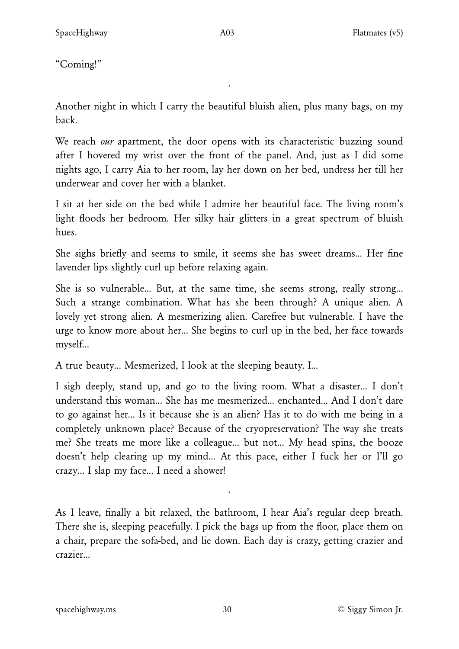"Coming!"

Another night in which I carry the beautiful bluish alien, plus many bags, on my back.

·

We reach *our* apartment, the door opens with its characteristic buzzing sound after I hovered my wrist over the front of the panel. And, just as I did some nights ago, I carry Aia to her room, lay her down on her bed, undress her till her underwear and cover her with a blanket.

I sit at her side on the bed while I admire her beautiful face. The living room's light floods her bedroom. Her silky hair glitters in a great spectrum of bluish hues.

She sighs briefly and seems to smile, it seems she has sweet dreams… Her fine lavender lips slightly curl up before relaxing again.

She is so vulnerable… But, at the same time, she seems strong, really strong… Such a strange combination. What has she been through? A unique alien. A lovely yet strong alien. A mesmerizing alien. Carefree but vulnerable. I have the urge to know more about her… She begins to curl up in the bed, her face towards myself…

A true beauty… Mesmerized, I look at the sleeping beauty. I…

I sigh deeply, stand up, and go to the living room. What a disaster… I don't understand this woman… She has me mesmerized… enchanted… And I don't dare to go against her… Is it because she is an alien? Has it to do with me being in a completely unknown place? Because of the cryopreservation? The way she treats me? She treats me more like a colleague… but not… My head spins, the booze doesn't help clearing up my mind… At this pace, either I fuck her or I'll go crazy… I slap my face… I need a shower!

As I leave, finally a bit relaxed, the bathroom, I hear Aia's regular deep breath. There she is, sleeping peacefully. I pick the bags up from the floor, place them on a chair, prepare the sofa-bed, and lie down. Each day is crazy, getting crazier and crazier…

·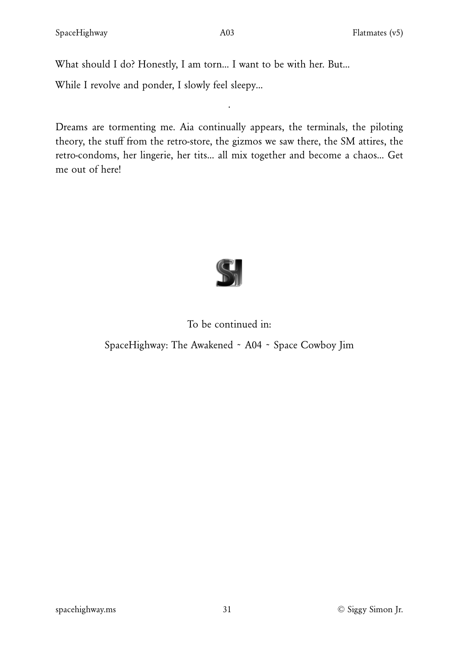What should I do? Honestly, I am torn… I want to be with her. But…

While I revolve and ponder, I slowly feel sleepy…

Dreams are tormenting me. Aia continually appears, the terminals, the piloting theory, the stuff from the retro-store, the gizmos we saw there, the SM attires, the retro-condoms, her lingerie, her tits… all mix together and become a chaos… Get me out of here!

·



# To be continued in:

SpaceHighway: The Awakened ~ A04 ~ Space Cowboy Jim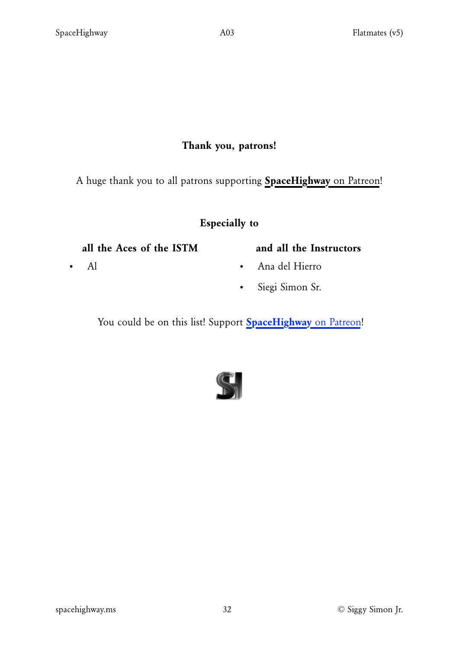### Thank you, patrons!

A huge thank you to all patrons supporting **[SpaceHighway](https://www.patreon.com/spacehighway)** [on Patreon!](https://www.patreon.com/spacehighway)

#### Especially to

#### all the Aces of the ISTM

• Al

#### and all the Instructors

- Ana del Hierro
- Siegi Simon Sr.

You could be on this list! Support **[SpaceHighway](https://www.patreon.com/spacehighway)** [on Patreon!](https://www.patreon.com/spacehighway)